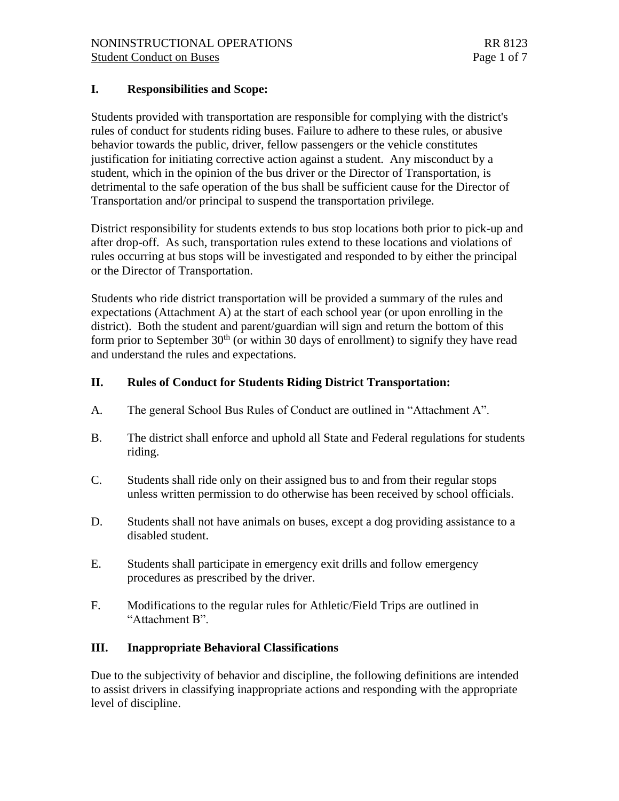### **I. Responsibilities and Scope:**

Students provided with transportation are responsible for complying with the district's rules of conduct for students riding buses. Failure to adhere to these rules, or abusive behavior towards the public, driver, fellow passengers or the vehicle constitutes justification for initiating corrective action against a student. Any misconduct by a student, which in the opinion of the bus driver or the Director of Transportation, is detrimental to the safe operation of the bus shall be sufficient cause for the Director of Transportation and/or principal to suspend the transportation privilege.

District responsibility for students extends to bus stop locations both prior to pick-up and after drop-off. As such, transportation rules extend to these locations and violations of rules occurring at bus stops will be investigated and responded to by either the principal or the Director of Transportation.

Students who ride district transportation will be provided a summary of the rules and expectations (Attachment A) at the start of each school year (or upon enrolling in the district). Both the student and parent/guardian will sign and return the bottom of this form prior to September  $30<sup>th</sup>$  (or within 30 days of enrollment) to signify they have read and understand the rules and expectations.

### **II. Rules of Conduct for Students Riding District Transportation:**

- A. The general School Bus Rules of Conduct are outlined in "Attachment A".
- B. The district shall enforce and uphold all State and Federal regulations for students riding.
- C. Students shall ride only on their assigned bus to and from their regular stops unless written permission to do otherwise has been received by school officials.
- D. Students shall not have animals on buses, except a dog providing assistance to a disabled student.
- E. Students shall participate in emergency exit drills and follow emergency procedures as prescribed by the driver.
- F. Modifications to the regular rules for Athletic/Field Trips are outlined in "Attachment B".

### **III. Inappropriate Behavioral Classifications**

Due to the subjectivity of behavior and discipline, the following definitions are intended to assist drivers in classifying inappropriate actions and responding with the appropriate level of discipline.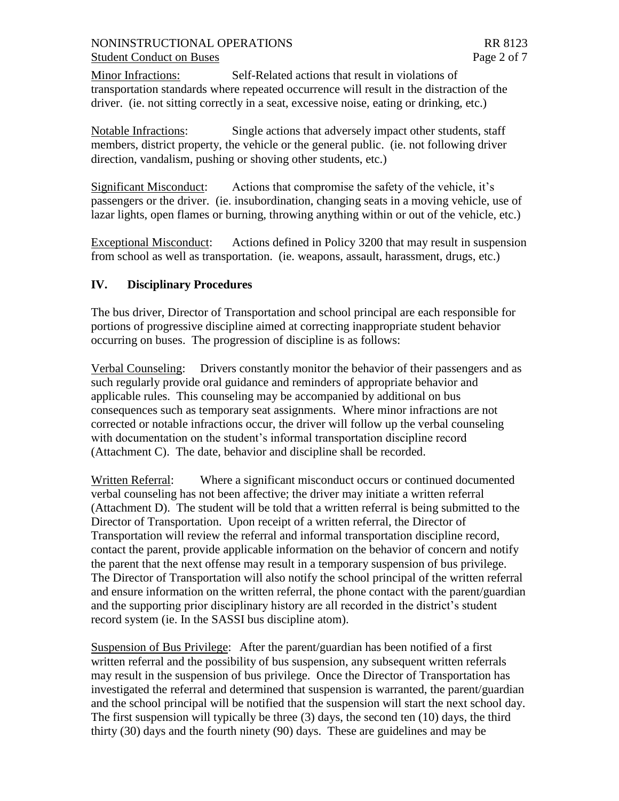Minor Infractions: Self-Related actions that result in violations of transportation standards where repeated occurrence will result in the distraction of the driver. (ie. not sitting correctly in a seat, excessive noise, eating or drinking, etc.)

Notable Infractions: Single actions that adversely impact other students, staff members, district property, the vehicle or the general public. (ie. not following driver direction, vandalism, pushing or shoving other students, etc.)

Significant Misconduct: Actions that compromise the safety of the vehicle, it's passengers or the driver. (ie. insubordination, changing seats in a moving vehicle, use of lazar lights, open flames or burning, throwing anything within or out of the vehicle, etc.)

Exceptional Misconduct: Actions defined in Policy 3200 that may result in suspension from school as well as transportation. (ie. weapons, assault, harassment, drugs, etc.)

### **IV. Disciplinary Procedures**

The bus driver, Director of Transportation and school principal are each responsible for portions of progressive discipline aimed at correcting inappropriate student behavior occurring on buses. The progression of discipline is as follows:

Verbal Counseling: Drivers constantly monitor the behavior of their passengers and as such regularly provide oral guidance and reminders of appropriate behavior and applicable rules. This counseling may be accompanied by additional on bus consequences such as temporary seat assignments. Where minor infractions are not corrected or notable infractions occur, the driver will follow up the verbal counseling with documentation on the student's informal transportation discipline record (Attachment C). The date, behavior and discipline shall be recorded.

Written Referral: Where a significant misconduct occurs or continued documented verbal counseling has not been affective; the driver may initiate a written referral (Attachment D). The student will be told that a written referral is being submitted to the Director of Transportation. Upon receipt of a written referral, the Director of Transportation will review the referral and informal transportation discipline record, contact the parent, provide applicable information on the behavior of concern and notify the parent that the next offense may result in a temporary suspension of bus privilege. The Director of Transportation will also notify the school principal of the written referral and ensure information on the written referral, the phone contact with the parent/guardian and the supporting prior disciplinary history are all recorded in the district's student record system (ie. In the SASSI bus discipline atom).

Suspension of Bus Privilege: After the parent/guardian has been notified of a first written referral and the possibility of bus suspension, any subsequent written referrals may result in the suspension of bus privilege. Once the Director of Transportation has investigated the referral and determined that suspension is warranted, the parent/guardian and the school principal will be notified that the suspension will start the next school day. The first suspension will typically be three (3) days, the second ten (10) days, the third thirty (30) days and the fourth ninety (90) days. These are guidelines and may be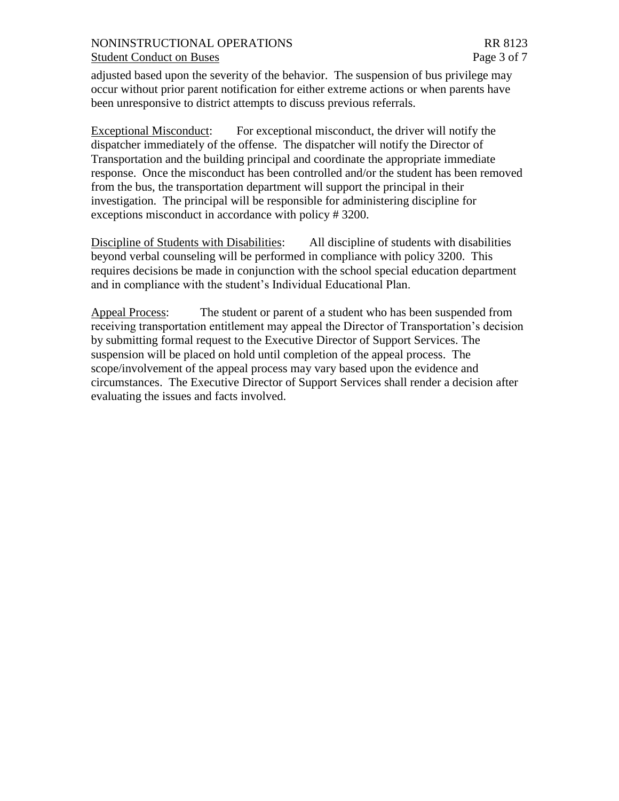## NONINSTRUCTIONAL OPERATIONS RR 8123

adjusted based upon the severity of the behavior. The suspension of bus privilege may occur without prior parent notification for either extreme actions or when parents have been unresponsive to district attempts to discuss previous referrals.

Exceptional Misconduct: For exceptional misconduct, the driver will notify the dispatcher immediately of the offense. The dispatcher will notify the Director of Transportation and the building principal and coordinate the appropriate immediate response. Once the misconduct has been controlled and/or the student has been removed from the bus, the transportation department will support the principal in their investigation. The principal will be responsible for administering discipline for exceptions misconduct in accordance with policy # 3200.

Discipline of Students with Disabilities: All discipline of students with disabilities beyond verbal counseling will be performed in compliance with policy 3200. This requires decisions be made in conjunction with the school special education department and in compliance with the student's Individual Educational Plan.

Appeal Process: The student or parent of a student who has been suspended from receiving transportation entitlement may appeal the Director of Transportation's decision by submitting formal request to the Executive Director of Support Services. The suspension will be placed on hold until completion of the appeal process. The scope/involvement of the appeal process may vary based upon the evidence and circumstances. The Executive Director of Support Services shall render a decision after evaluating the issues and facts involved.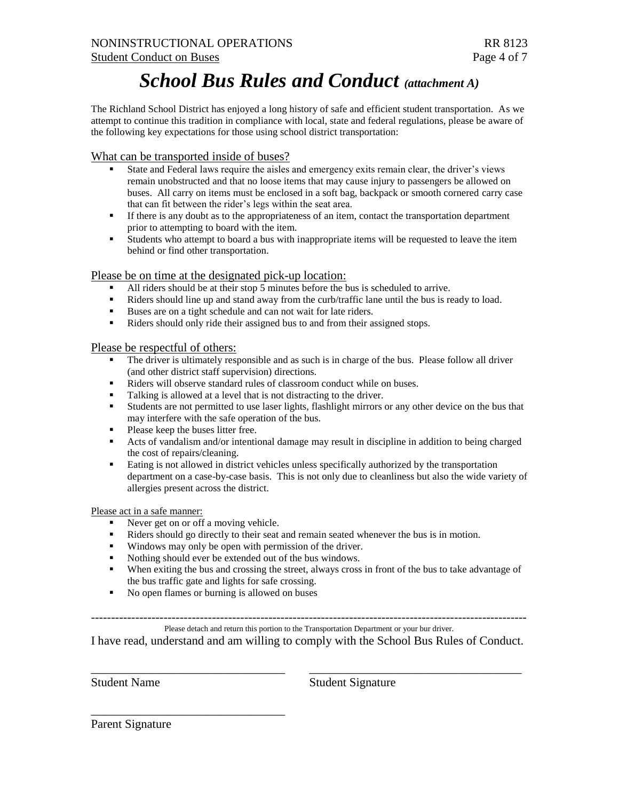# *School Bus Rules and Conduct (attachment A)*

The Richland School District has enjoyed a long history of safe and efficient student transportation. As we attempt to continue this tradition in compliance with local, state and federal regulations, please be aware of the following key expectations for those using school district transportation:

What can be transported inside of buses?

- State and Federal laws require the aisles and emergency exits remain clear, the driver's views remain unobstructed and that no loose items that may cause injury to passengers be allowed on buses. All carry on items must be enclosed in a soft bag, backpack or smooth cornered carry case that can fit between the rider's legs within the seat area.
- If there is any doubt as to the appropriateness of an item, contact the transportation department prior to attempting to board with the item.
- Students who attempt to board a bus with inappropriate items will be requested to leave the item behind or find other transportation.

#### Please be on time at the designated pick-up location:

- All riders should be at their stop 5 minutes before the bus is scheduled to arrive.
- Riders should line up and stand away from the curb/traffic lane until the bus is ready to load.
- Buses are on a tight schedule and can not wait for late riders.
- Riders should only ride their assigned bus to and from their assigned stops.

#### Please be respectful of others:

- The driver is ultimately responsible and as such is in charge of the bus. Please follow all driver (and other district staff supervision) directions.
- Riders will observe standard rules of classroom conduct while on buses.<br>• Talking is allowed at a level that is not distracting to the driver
- Talking is allowed at a level that is not distracting to the driver.
- Students are not permitted to use laser lights, flashlight mirrors or any other device on the bus that may interfere with the safe operation of the bus.
- Please keep the buses litter free.
- Acts of vandalism and/or intentional damage may result in discipline in addition to being charged the cost of repairs/cleaning.
- **Eating is not allowed in district vehicles unless specifically authorized by the transportation** department on a case-by-case basis. This is not only due to cleanliness but also the wide variety of allergies present across the district.

#### Please act in a safe manner:

Never get on or off a moving vehicle.

\_\_\_\_\_\_\_\_\_\_\_\_\_\_\_\_\_\_\_\_\_\_\_\_\_\_\_\_\_\_\_\_

- Riders should go directly to their seat and remain seated whenever the bus is in motion.
- Windows may only be open with permission of the driver.
- Nothing should ever be extended out of the bus windows.
- When exiting the bus and crossing the street, always cross in front of the bus to take advantage of the bus traffic gate and lights for safe crossing.
- No open flames or burning is allowed on buses

------------------------------------------------------------------------------------------------------------

#### Please detach and return this portion to the Transportation Department or your bur driver.

I have read, understand and am willing to comply with the School Bus Rules of Conduct.

\_\_\_\_\_\_\_\_\_\_\_\_\_\_\_\_\_\_\_\_\_\_\_\_\_\_\_\_\_\_\_\_ \_\_\_\_\_\_\_\_\_\_\_\_\_\_\_\_\_\_\_\_\_\_\_\_\_\_\_\_\_\_\_\_\_\_\_

Student Name Student Signature

Parent Signature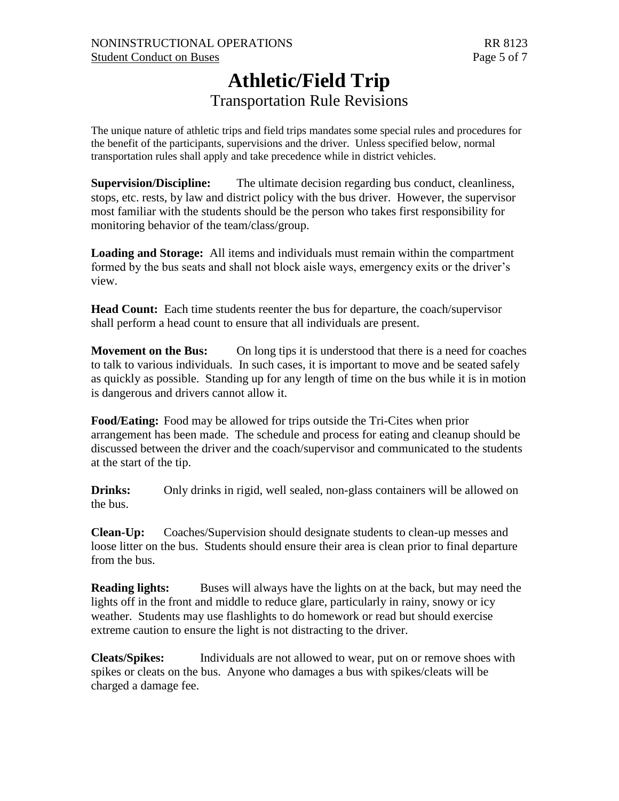## **Athletic/Field Trip** Transportation Rule Revisions

The unique nature of athletic trips and field trips mandates some special rules and procedures for the benefit of the participants, supervisions and the driver. Unless specified below, normal transportation rules shall apply and take precedence while in district vehicles.

**Supervision/Discipline:** The ultimate decision regarding bus conduct, cleanliness, stops, etc. rests, by law and district policy with the bus driver. However, the supervisor most familiar with the students should be the person who takes first responsibility for monitoring behavior of the team/class/group.

**Loading and Storage:** All items and individuals must remain within the compartment formed by the bus seats and shall not block aisle ways, emergency exits or the driver's view.

**Head Count:** Each time students reenter the bus for departure, the coach/supervisor shall perform a head count to ensure that all individuals are present.

**Movement on the Bus:** On long tips it is understood that there is a need for coaches to talk to various individuals. In such cases, it is important to move and be seated safely as quickly as possible. Standing up for any length of time on the bus while it is in motion is dangerous and drivers cannot allow it.

**Food/Eating:** Food may be allowed for trips outside the Tri-Cites when prior arrangement has been made. The schedule and process for eating and cleanup should be discussed between the driver and the coach/supervisor and communicated to the students at the start of the tip.

**Drinks:** Only drinks in rigid, well sealed, non-glass containers will be allowed on the bus.

**Clean-Up:** Coaches/Supervision should designate students to clean-up messes and loose litter on the bus. Students should ensure their area is clean prior to final departure from the bus.

**Reading lights:** Buses will always have the lights on at the back, but may need the lights off in the front and middle to reduce glare, particularly in rainy, snowy or icy weather. Students may use flashlights to do homework or read but should exercise extreme caution to ensure the light is not distracting to the driver.

**Cleats/Spikes:** Individuals are not allowed to wear, put on or remove shoes with spikes or cleats on the bus. Anyone who damages a bus with spikes/cleats will be charged a damage fee.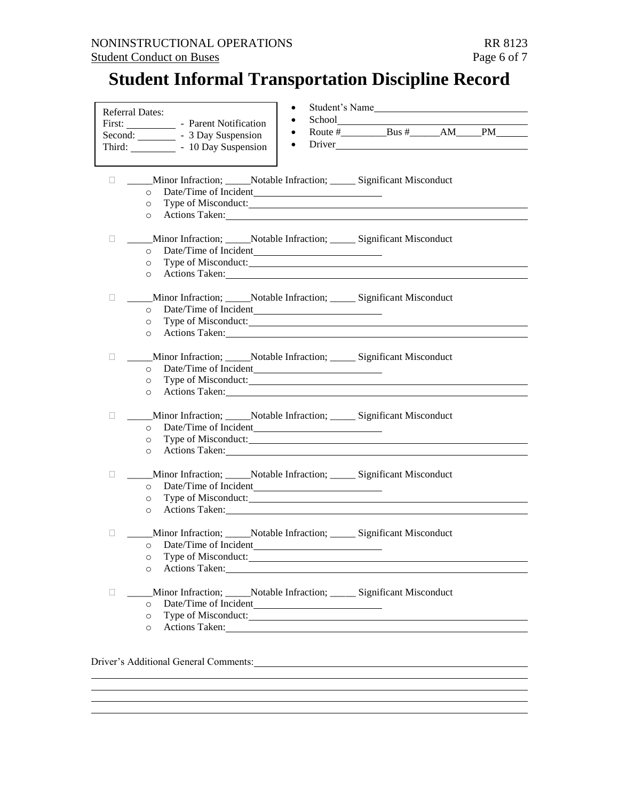# **Student Informal Transportation Discipline Record**

| <b>Referral Dates:</b>                        | First: Parent Notification<br>Second: __________ - 3 Day Suspension<br>Third: ____________ - 10 Day Suspension                                                                                                                                                                                                                                                    | $\bullet$<br>$\bullet$<br>$\bullet$<br>$\bullet$ | Student's Name<br>Route $\#$ Bus $\#$ AM PM |  |
|-----------------------------------------------|-------------------------------------------------------------------------------------------------------------------------------------------------------------------------------------------------------------------------------------------------------------------------------------------------------------------------------------------------------------------|--------------------------------------------------|---------------------------------------------|--|
| $\mathbf{L}$<br>$\circ$<br>$\circ$<br>$\circ$ | Minor Infraction; ______Notable Infraction; ________ Significant Misconduct<br>Actions Taken: New York Changes and School and School and School and School and School and School and School and School and School and School and School and School and School and School and School and School and School and                                                     |                                                  |                                             |  |
| П.<br>$\circ$<br>$\circ$<br>$\circ$           | Minor Infraction; ______Notable Infraction; ________ Significant Misconduct<br>Type of Misconduct:<br>Actions Taken: New York Changes and Section 2014                                                                                                                                                                                                            |                                                  |                                             |  |
| $\Box$<br>$\circ$<br>$\circ$<br>$\circ$       | ____Minor Infraction; _____Notable Infraction; ______ Significant Misconduct<br>Type of Misconduct:<br>Actions Taken: Notice of the Contract of the Contract of the Contract of the Contract of the Contract of the Contract of the Contract of the Contract of the Contract of the Contract of the Contract of the Contract of the C                             |                                                  |                                             |  |
| $\mathbf{L}$<br>$\circ$<br>$\circ$<br>$\circ$ | Minor Infraction; ______Notable Infraction; _________ Significant Misconduct<br>Actions Taken:                                                                                                                                                                                                                                                                    |                                                  |                                             |  |
| $\Box$<br>$\circ$<br>$\circ$<br>$\circ$       | _____Minor Infraction; ______Notable Infraction; ________ Significant Misconduct<br>Actions Taken:                                                                                                                                                                                                                                                                |                                                  |                                             |  |
| u.<br>$\circ$<br>$\circ$<br>$\circ$           | _____Minor Infraction; ______Notable Infraction; ________ Significant Misconduct<br>Type of Misconduct:<br>Actions Taken: Notice and Second Contract to the Contract of the Contract of the Contract of the Contract of the Contract of the Contract of the Contract of the Contract of the Contract of the Contract of the Contract of t                         |                                                  |                                             |  |
| П.<br>$\circ$<br>$\circ$                      | Minor Infraction; Notable Infraction; Significant Misconduct<br>$\overline{\circ}$ Date/Time of Incident<br>Type of Misconduct:<br>Actions Taken: Note that the set of the set of the set of the set of the set of the set of the set of the set of the set of the set of the set of the set of the set of the set of the set of the set of the set of the set of |                                                  |                                             |  |
| $\Box$<br>$\circ$<br>$\circ$<br>$\circ$       | Minor Infraction; _____Notable Infraction; ______ Significant Misconduct<br>Type of Misconduct: New York 1988 and 1989.                                                                                                                                                                                                                                           |                                                  |                                             |  |

# Driver's Additional General Comments: